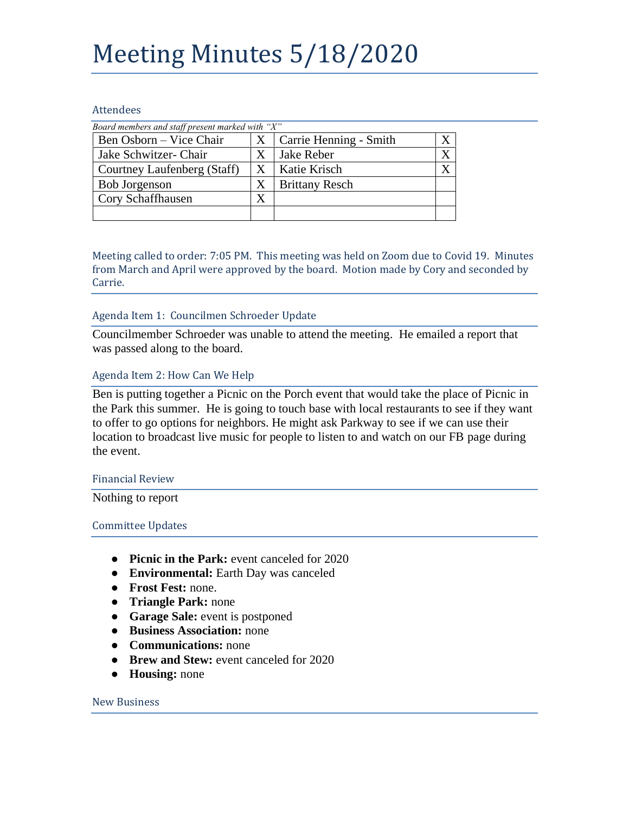## Meeting Minutes 5/18/2020

#### **Attendees**

| Board members and staff present marked with " $X$ " |   |                        |  |
|-----------------------------------------------------|---|------------------------|--|
| Ben Osborn – Vice Chair                             | X | Carrie Henning - Smith |  |
| Jake Schwitzer- Chair                               | X | Jake Reber             |  |
| Courtney Laufenberg (Staff)                         | Χ | Katie Krisch           |  |
| <b>Bob Jorgenson</b>                                | X | <b>Brittany Resch</b>  |  |
| Cory Schaffhausen                                   |   |                        |  |
|                                                     |   |                        |  |

Meeting called to order: 7:05 PM. This meeting was held on Zoom due to Covid 19. Minutes from March and April were approved by the board. Motion made by Cory and seconded by Carrie.

## Agenda Item 1: Councilmen Schroeder Update

Councilmember Schroeder was unable to attend the meeting. He emailed a report that was passed along to the board.

## Agenda Item 2: How Can We Help

Ben is putting together a Picnic on the Porch event that would take the place of Picnic in the Park this summer. He is going to touch base with local restaurants to see if they want to offer to go options for neighbors. He might ask Parkway to see if we can use their location to broadcast live music for people to listen to and watch on our FB page during the event.

#### Financial Review

Nothing to report

## Committee Updates

- **Picnic in the Park:** event canceled for 2020
- **Environmental:** Earth Day was canceled
- **Frost Fest:** none.
- **Triangle Park:** none
- **Garage Sale:** event is postponed
- **Business Association:** none
- **Communications:** none
- **Brew and Stew:** event canceled for 2020
- **Housing:** none

#### New Business